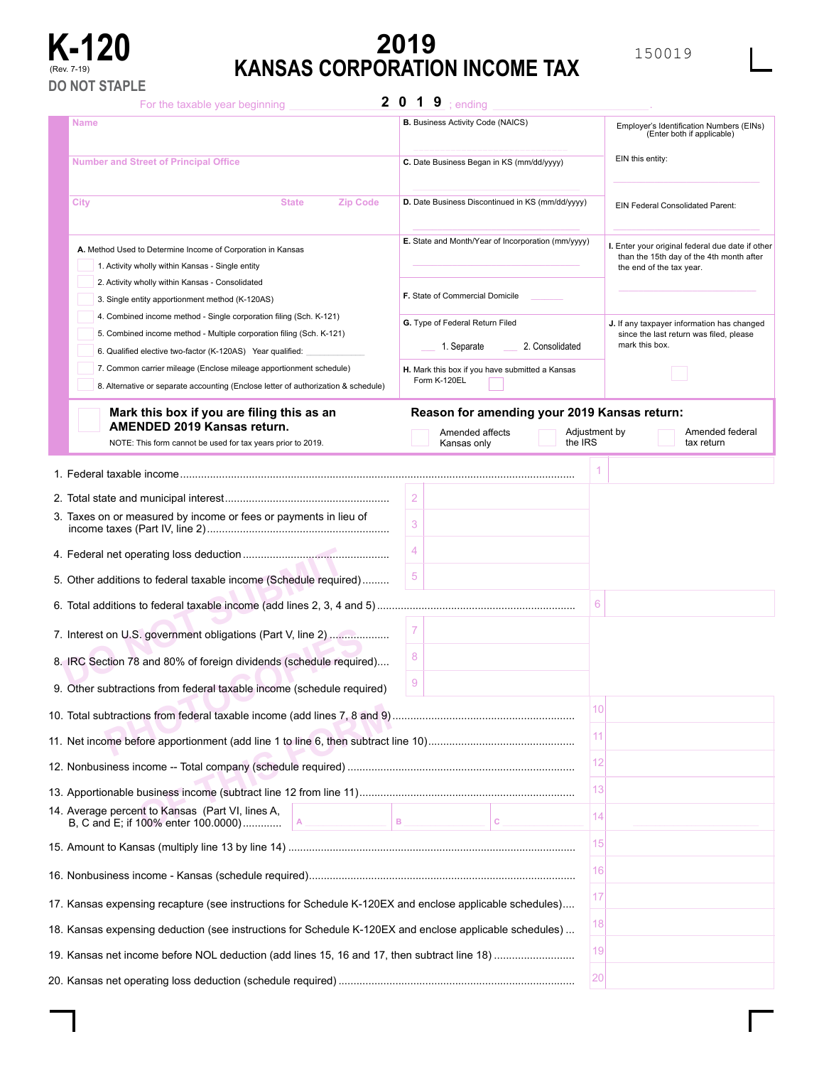

# **K-120 EXECUTE:**<br> **KANSAS CORPORATION INCOME TAX KANSAS CORPORATION INCOME TAX**

For the taxable year beginning

 $2 \t0 \t1 \t9$  ; ending

| <b>Name</b>                                                                                                  |                                                 | <b>B.</b> Business Activity Code (NAICS)           |    | Employer's Identification Numbers (EINs)<br>(Enter both if applicable)                       |  |  |  |
|--------------------------------------------------------------------------------------------------------------|-------------------------------------------------|----------------------------------------------------|----|----------------------------------------------------------------------------------------------|--|--|--|
| <b>Number and Street of Principal Office</b>                                                                 |                                                 | C. Date Business Began in KS (mm/dd/yyyy)          |    | EIN this entity:                                                                             |  |  |  |
| <b>Zip Code</b><br>City<br><b>State</b>                                                                      |                                                 | D. Date Business Discontinued in KS (mm/dd/yyyy)   |    |                                                                                              |  |  |  |
|                                                                                                              |                                                 |                                                    |    | EIN Federal Consolidated Parent:                                                             |  |  |  |
| A. Method Used to Determine Income of Corporation in Kansas                                                  |                                                 | E. State and Month/Year of Incorporation (mm/yyyy) |    | I. Enter your original federal due date if other<br>than the 15th day of the 4th month after |  |  |  |
| 1. Activity wholly within Kansas - Single entity                                                             |                                                 |                                                    |    | the end of the tax year.                                                                     |  |  |  |
| 2. Activity wholly within Kansas - Consolidated<br>3. Single entity apportionment method (K-120AS)           |                                                 | F. State of Commercial Domicile                    |    |                                                                                              |  |  |  |
| 4. Combined income method - Single corporation filing (Sch. K-121)                                           |                                                 |                                                    |    |                                                                                              |  |  |  |
| 5. Combined income method - Multiple corporation filing (Sch. K-121)                                         |                                                 | G. Type of Federal Return Filed                    |    | J. If any taxpayer information has changed<br>since the last return was filed, please        |  |  |  |
| 6. Qualified elective two-factor (K-120AS) Year qualified:                                                   | 2. Consolidated<br>1. Separate                  |                                                    |    |                                                                                              |  |  |  |
| 7. Common carrier mileage (Enclose mileage apportionment schedule)                                           | H. Mark this box if you have submitted a Kansas |                                                    |    |                                                                                              |  |  |  |
| 8. Alternative or separate accounting (Enclose letter of authorization & schedule)                           |                                                 | Form K-120EL                                       |    |                                                                                              |  |  |  |
| Mark this box if you are filing this as an                                                                   |                                                 | Reason for amending your 2019 Kansas return:       |    |                                                                                              |  |  |  |
| AMENDED 2019 Kansas return.                                                                                  |                                                 | Amended affects<br>Adjustment by                   |    | Amended federal                                                                              |  |  |  |
| NOTE: This form cannot be used for tax years prior to 2019.                                                  |                                                 | the IRS<br>Kansas only                             |    | tax return                                                                                   |  |  |  |
|                                                                                                              |                                                 |                                                    |    |                                                                                              |  |  |  |
|                                                                                                              | $\overline{2}$                                  |                                                    |    |                                                                                              |  |  |  |
| 3. Taxes on or measured by income or fees or payments in lieu of                                             | 3                                               |                                                    |    |                                                                                              |  |  |  |
|                                                                                                              | 4                                               |                                                    |    |                                                                                              |  |  |  |
| 5. Other additions to federal taxable income (Schedule required)                                             | 5                                               |                                                    |    |                                                                                              |  |  |  |
|                                                                                                              |                                                 |                                                    | 6  |                                                                                              |  |  |  |
| 7. Interest on U.S. government obligations (Part V, line 2)                                                  | 7                                               |                                                    |    |                                                                                              |  |  |  |
| 8. IRC Section 78 and 80% of foreign dividends (schedule required)                                           | 8                                               |                                                    |    |                                                                                              |  |  |  |
| 9. Other subtractions from federal taxable income (schedule required)                                        | 9                                               |                                                    |    |                                                                                              |  |  |  |
|                                                                                                              |                                                 |                                                    | 10 |                                                                                              |  |  |  |
|                                                                                                              |                                                 |                                                    | 11 |                                                                                              |  |  |  |
|                                                                                                              |                                                 |                                                    | 12 |                                                                                              |  |  |  |
|                                                                                                              |                                                 |                                                    | 13 |                                                                                              |  |  |  |
| 14. Average percent to Kansas (Part VI, lines A,<br>$\, {\bf B}$<br>B, C and E; if 100% enter 100.0000)<br>A |                                                 | c                                                  | 14 |                                                                                              |  |  |  |
|                                                                                                              |                                                 |                                                    | 15 |                                                                                              |  |  |  |
|                                                                                                              |                                                 |                                                    | 16 |                                                                                              |  |  |  |
| 17. Kansas expensing recapture (see instructions for Schedule K-120EX and enclose applicable schedules)      |                                                 |                                                    | 17 |                                                                                              |  |  |  |
| 18. Kansas expensing deduction (see instructions for Schedule K-120EX and enclose applicable schedules)      |                                                 |                                                    | 18 |                                                                                              |  |  |  |
|                                                                                                              |                                                 |                                                    | 19 |                                                                                              |  |  |  |
|                                                                                                              |                                                 |                                                    | 20 |                                                                                              |  |  |  |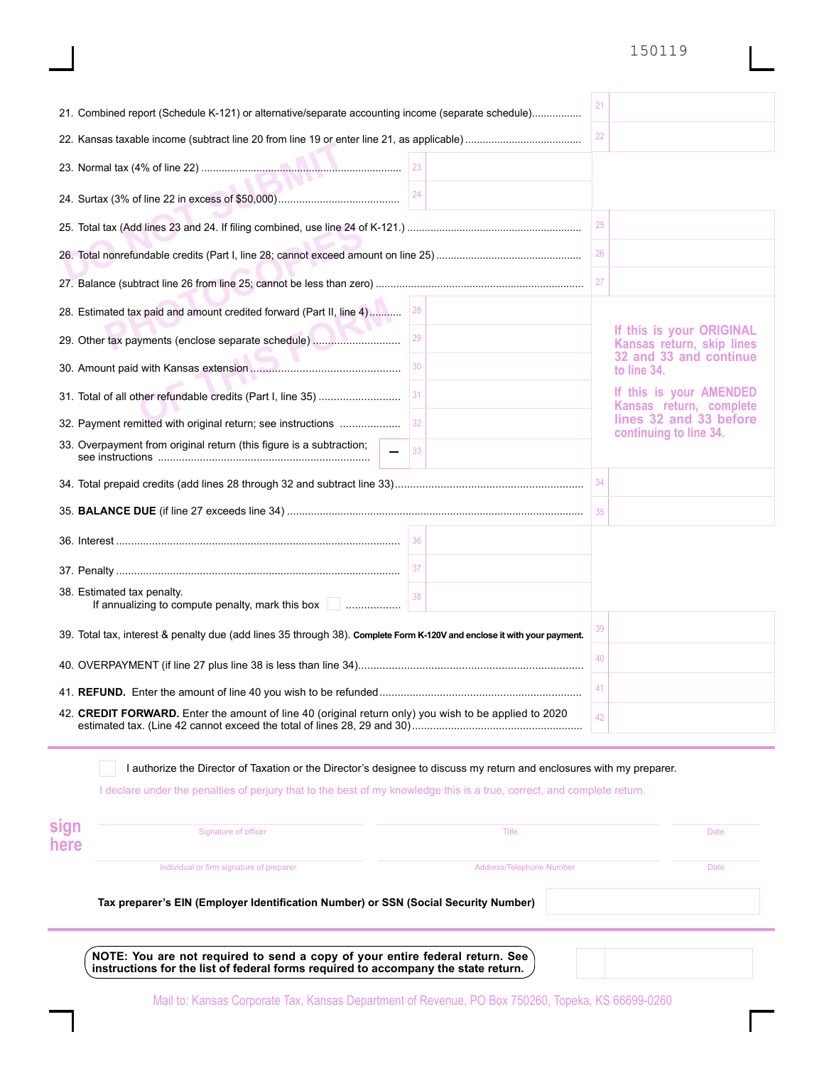## 150119

| 21. Combined report (Schedule K-121) or alternative/separate accounting income (separate schedule)                      |  | 21                                               |                                                       |
|-------------------------------------------------------------------------------------------------------------------------|--|--------------------------------------------------|-------------------------------------------------------|
|                                                                                                                         |  | 22                                               |                                                       |
|                                                                                                                         |  |                                                  |                                                       |
| 24                                                                                                                      |  |                                                  |                                                       |
|                                                                                                                         |  | 25                                               |                                                       |
|                                                                                                                         |  | 26                                               |                                                       |
|                                                                                                                         |  | 27                                               |                                                       |
| 28. Estimated tax paid and amount credited forward (Part II, line 4)<br>28                                              |  |                                                  |                                                       |
| 29<br>29. Other tax payments (enclose separate schedule)                                                                |  |                                                  | If this is your ORIGINAL<br>Kansas return, skip lines |
| 30                                                                                                                      |  | 32 and 33 and continue<br>to line 34.            |                                                       |
| 31<br>31. Total of all other refundable credits (Part I, line 35)                                                       |  |                                                  | If this is your AMENDED<br>Kansas return, complete    |
| 32<br>32. Payment remitted with original return; see instructions                                                       |  | lines 32 and 33 before<br>continuing to line 34. |                                                       |
| 33. Overpayment from original return (this figure is a subtraction;<br>33                                               |  |                                                  |                                                       |
|                                                                                                                         |  | 34                                               |                                                       |
|                                                                                                                         |  | 35                                               |                                                       |
| 36                                                                                                                      |  |                                                  |                                                       |
|                                                                                                                         |  |                                                  |                                                       |
| 38. Estimated tax penalty.<br>38<br>If annualizing to compute penalty, mark this box <b>Communisties</b>                |  |                                                  |                                                       |
| 39. Total tax, interest & penalty due (add lines 35 through 38). Complete Form K-120V and enclose it with your payment. |  | 39                                               |                                                       |
|                                                                                                                         |  | 40                                               |                                                       |
|                                                                                                                         |  | 41                                               |                                                       |
| 42. CREDIT FORWARD. Enter the amount of line 40 (original return only) you wish to be applied to 2020                   |  | 42                                               |                                                       |
| I authorize the Director of Taxation or the Director's designee to discuss my return and enclosures with my preparer.   |  |                                                  |                                                       |

I declare under the penalties of perjury that to the best of my knowledge this is a true, correct, and complete return.

| sign<br>here | Signature of officer                                                                | <b>Title</b>             | <b>Date</b> |  |  |  |  |
|--------------|-------------------------------------------------------------------------------------|--------------------------|-------------|--|--|--|--|
|              | Individual or firm signature of preparer                                            | Address/Telephone Number | Date        |  |  |  |  |
|              | Tax preparer's EIN (Employer Identification Number) or SSN (Social Security Number) |                          |             |  |  |  |  |
|              | NOTE: You are not required to send a copy of your entire federal return. See        |                          |             |  |  |  |  |

**instructions for the list of federal forms required to accompany the state return.**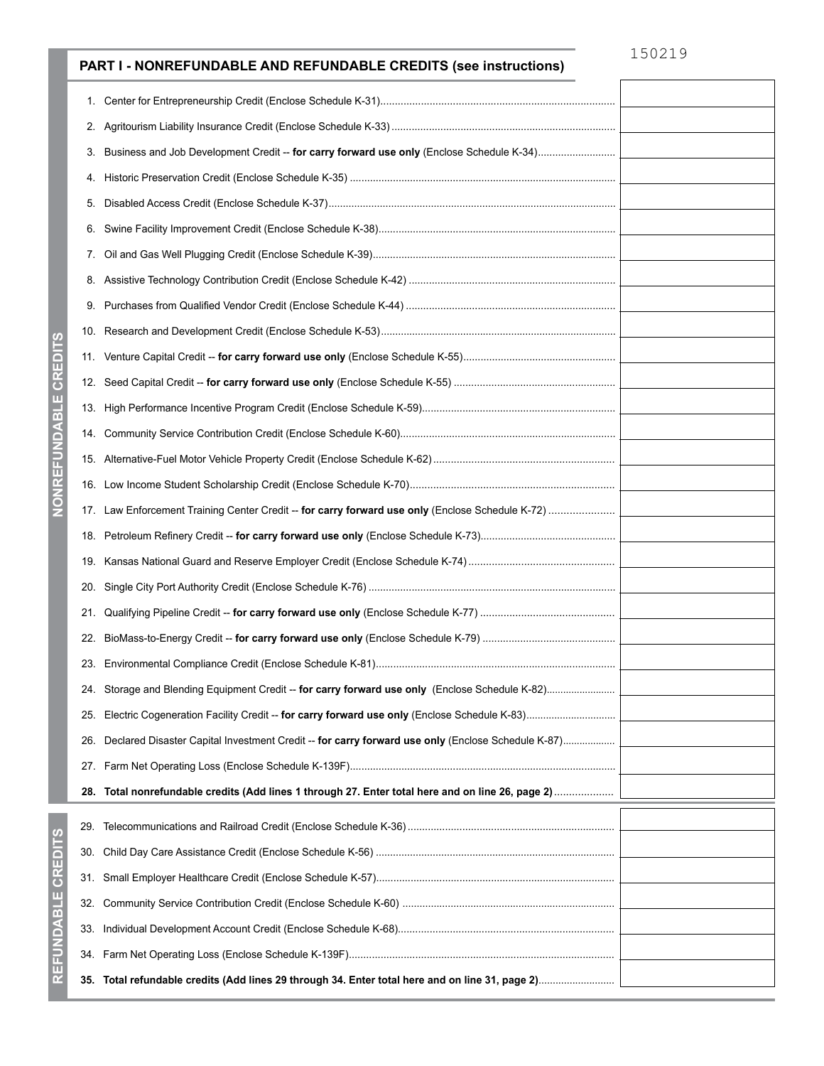# 150219

# **PART I - NONREFUNDABLE AND REFUNDABLE CREDITS (see instructions)**

| 1.  |                                                                                                   |  |
|-----|---------------------------------------------------------------------------------------------------|--|
|     |                                                                                                   |  |
| 3.  | Business and Job Development Credit -- for carry forward use only (Enclose Schedule K-34)         |  |
| 4.  |                                                                                                   |  |
| 5.  |                                                                                                   |  |
| 6.  |                                                                                                   |  |
| 7.  |                                                                                                   |  |
| 8.  |                                                                                                   |  |
| 9.  |                                                                                                   |  |
|     |                                                                                                   |  |
| 11. |                                                                                                   |  |
| 12. |                                                                                                   |  |
| 13. |                                                                                                   |  |
|     |                                                                                                   |  |
|     |                                                                                                   |  |
|     |                                                                                                   |  |
|     | 17. Law Enforcement Training Center Credit -- for carry forward use only (Enclose Schedule K-72)  |  |
| 18. |                                                                                                   |  |
| 19. |                                                                                                   |  |
| 20. |                                                                                                   |  |
| 21. |                                                                                                   |  |
|     |                                                                                                   |  |
|     |                                                                                                   |  |
|     | 24. Storage and Blending Equipment Credit -- for carry forward use only (Enclose Schedule K-82)   |  |
| 25. |                                                                                                   |  |
| 26. | Declared Disaster Capital Investment Credit -- for carry forward use only (Enclose Schedule K-87) |  |
|     |                                                                                                   |  |
|     |                                                                                                   |  |
|     |                                                                                                   |  |
| 30. |                                                                                                   |  |
|     |                                                                                                   |  |
| 32. |                                                                                                   |  |
| 33. |                                                                                                   |  |
|     |                                                                                                   |  |
|     |                                                                                                   |  |

**REFUNDABLE CREDITS**

REFUNDABLE CREDITS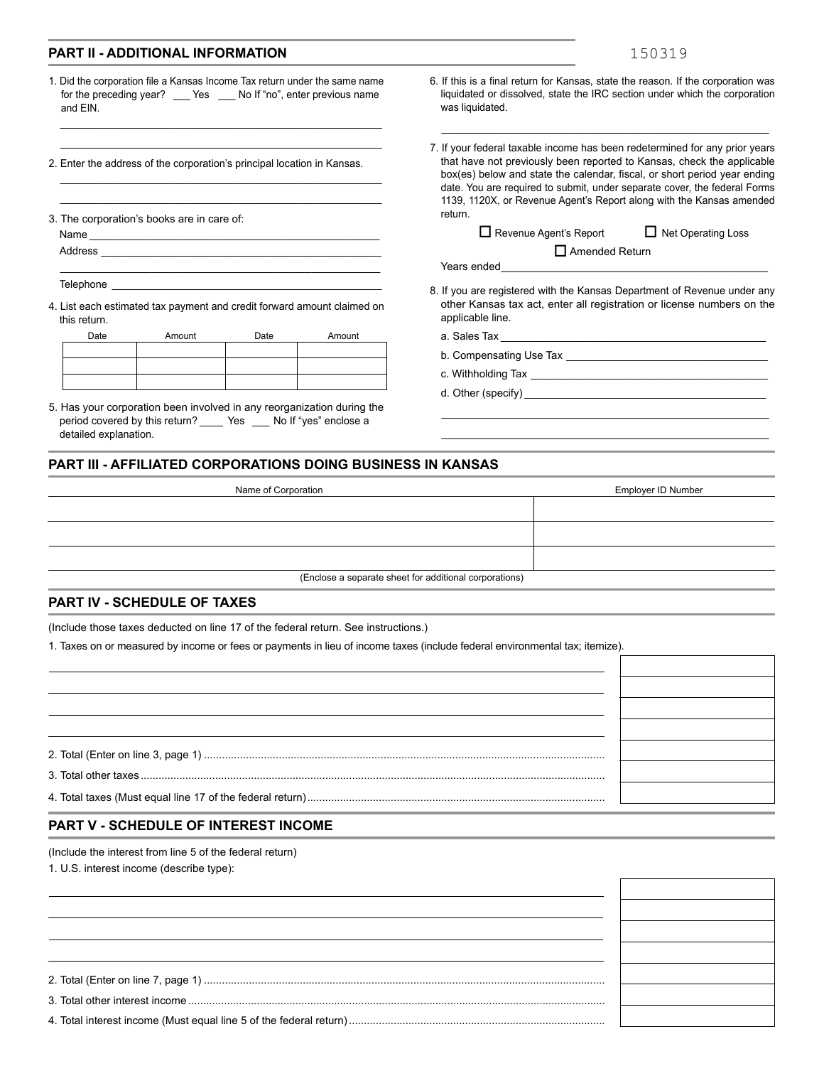#### **PART II - ADDITIONAL INFORMATION**

1. Did the corporation file a Kansas Income Tax return under the same name for the preceding year? \_\_\_\_ Yes \_\_\_\_ No If "no", enter previous name and EIN.

\_\_\_\_\_\_\_\_\_\_\_\_\_\_\_\_\_\_\_\_\_\_\_\_\_\_\_\_\_\_\_\_\_\_\_\_\_\_\_\_\_\_\_\_\_\_\_\_\_\_\_\_\_\_\_\_ \_\_\_\_\_\_\_\_\_\_\_\_\_\_\_\_\_\_\_\_\_\_\_\_\_\_\_\_\_\_\_\_\_\_\_\_\_\_\_\_\_\_\_\_\_\_\_\_\_\_\_\_\_\_\_\_

\_\_\_\_\_\_\_\_\_\_\_\_\_\_\_\_\_\_\_\_\_\_\_\_\_\_\_\_\_\_\_\_\_\_\_\_\_\_\_\_\_\_\_\_\_\_\_\_\_\_\_\_\_\_\_\_ \_\_\_\_\_\_\_\_\_\_\_\_\_\_\_\_\_\_\_\_\_\_\_\_\_\_\_\_\_\_\_\_\_\_\_\_\_\_\_\_\_\_\_\_\_\_\_\_\_\_\_\_\_\_\_\_

\_\_\_\_\_\_\_\_\_\_\_\_\_\_\_\_\_\_\_\_\_\_\_\_\_\_\_\_\_\_\_\_\_\_\_\_\_\_\_\_\_\_\_\_\_\_\_\_\_\_  $\_$  , and the set of the set of the set of the set of the set of the set of the set of the set of the set of the set of the set of the set of the set of the set of the set of the set of the set of the set of the set of th \_\_\_\_\_\_\_\_\_\_\_\_\_\_\_\_\_\_\_\_\_\_\_\_\_\_\_\_\_\_\_\_\_\_\_\_\_\_\_\_\_\_\_\_\_\_\_\_\_\_\_\_\_\_\_\_

\_\_\_\_\_\_\_\_\_\_\_\_\_\_\_\_\_\_\_\_\_\_\_\_\_\_\_\_\_\_\_\_\_\_\_\_\_\_\_\_\_\_\_\_\_\_\_

2. Enter the address of the corporation's principal location in Kansas.

3. The corporation's books are in care of:

Address<sub>\_</sub>

Telephone \_

4. List each estimated tax payment and credit forward amount claimed on this return.

| Date | Amount | Date | Amount |
|------|--------|------|--------|
|      |        |      |        |
|      |        |      |        |
|      |        |      |        |
|      |        |      |        |

5. Has your corporation been involved in any reorganization during the period covered by this return? \_\_\_\_\_ Yes \_\_\_\_ No If "yes" enclose a detailed explanation.

6. If this is a final return for Kansas, state the reason. If the corporation was liquidated or dissolved, state the IRC section under which the corporation was liquidated.

\_\_\_\_\_\_\_\_\_\_\_\_\_\_\_\_\_\_\_\_\_\_\_\_\_\_\_\_\_\_\_\_\_\_\_\_\_\_\_\_\_\_\_\_\_\_\_\_\_\_\_\_\_\_\_\_\_

7. If your federal taxable income has been redetermined for any prior years that have not previously been reported to Kansas, check the applicable box(es) below and state the calendar, fiscal, or short period year ending date. You are required to submit, under separate cover, the federal Forms 1139, 1120X, or Revenue Agent's Report along with the Kansas amended return.

 $\Box$  Revenue Agent's Report  $\Box$  Net Operating Loss

| Net Operating Los |  |  |  |
|-------------------|--|--|--|
|-------------------|--|--|--|

Years ended \_\_\_\_\_\_\_\_\_\_\_\_\_\_\_\_\_\_\_\_\_\_\_\_\_\_\_\_\_\_\_\_\_\_\_\_\_\_\_\_\_\_\_\_\_

8. If you are registered with the Kansas Department of Revenue under any other Kansas tax act, enter all registration or license numbers on the applicable line.

\_\_\_\_\_\_\_\_\_\_\_\_\_\_\_\_\_\_\_\_\_\_\_\_\_\_\_\_\_\_\_\_\_\_\_\_\_\_\_\_\_\_\_\_\_\_\_\_\_\_\_\_\_\_\_\_\_ \_\_\_\_\_\_\_\_\_\_\_\_\_\_\_\_\_\_\_\_\_\_\_\_\_\_\_\_\_\_\_\_\_\_\_\_\_\_\_\_\_\_\_\_\_\_\_\_\_\_\_\_\_\_\_\_\_

Amended Return o

a. Sales Tax \_\_\_\_\_\_\_\_\_\_\_\_\_\_\_\_\_\_\_\_\_\_\_\_\_\_\_\_\_\_\_\_\_\_\_\_\_\_\_\_\_\_\_\_\_

- b. Compensating Use Tax \_\_\_\_\_\_\_\_\_\_\_\_\_\_\_\_\_\_\_\_\_\_\_\_\_\_\_\_\_\_\_\_\_\_
- c. Withholding Tax \_\_\_\_\_\_\_\_\_\_\_\_\_\_\_\_\_\_\_\_\_\_\_\_\_\_\_\_\_\_\_\_\_\_\_\_\_\_\_\_
- d. Other (specify) \_\_\_\_\_\_\_\_\_\_\_\_\_\_\_\_\_\_\_\_\_\_\_\_\_\_\_\_\_\_\_\_\_\_\_\_\_\_\_\_\_

#### **PART III - AFFILIATED CORPORATIONS DOING BUSINESS IN KANSAS**

| Name of Corporation                                    | Employer ID Number |
|--------------------------------------------------------|--------------------|
|                                                        |                    |
|                                                        |                    |
|                                                        |                    |
| (Enclose a separate sheet for additional corporations) |                    |

#### **PART IV - SCHEDULE OF TAXES**

(Include those taxes deducted on line 17 of the federal return. See instructions.)

1. Taxes on or measured by income or fees or payments in lieu of income taxes (include federal environmental tax; itemize).

### **PART V - SCHEDULE OF INTEREST INCOME**

(Include the interest from line 5 of the federal return)

1. U.S. interest income (describe type):

| ~<br>. . |  | $\sum$ |  |  |  |  |  |
|----------|--|--------|--|--|--|--|--|
|          |  |        |  |  |  |  |  |

3. Total other interest income ............................................................................................................................................

4. Total interest income (Must equal line 5 of the federal return) ......................................................................................